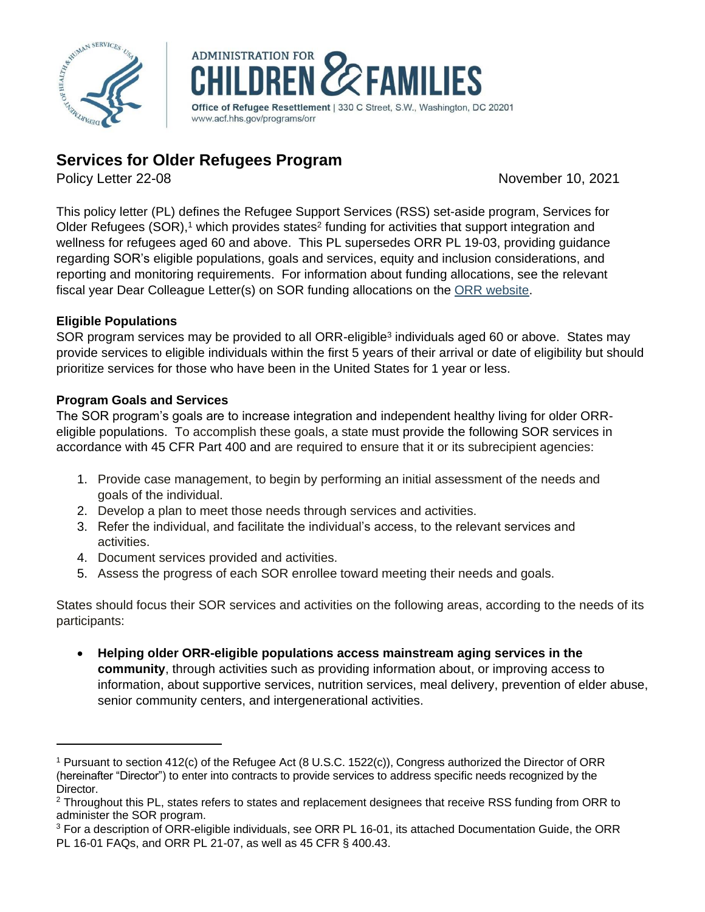



# **Services for Older Refugees Program**

Policy Letter 22-08 November 10, 2021

This policy letter (PL) defines the Refugee Support Services (RSS) set-aside program, Services for Older Refugees (SOR),<sup>1</sup> which provides states<sup>2</sup> funding for activities that support integration and wellness for refugees aged 60 and above. This PL supersedes ORR PL 19-03, providing guidance regarding SOR's eligible populations, goals and services, equity and inclusion considerations, and reporting and monitoring requirements. For information about funding allocations, see the relevant fiscal year Dear Colleague Letter(s) on SOR funding allocations on the [ORR website.](https://www.acf.hhs.gov/orr/policy-guidance/dear-colleague-letter)

## **Eligible Populations**

SOR program services may be provided to all ORR-eligible<sup>3</sup> individuals aged 60 or above. States may provide services to eligible individuals within the first 5 years of their arrival or date of eligibility but should prioritize services for those who have been in the United States for 1 year or less.

## **Program Goals and Services**

The SOR program's goals are to increase integration and independent healthy living for older ORReligible populations. To accomplish these goals, a state must provide the following SOR services in accordance with 45 CFR Part 400 and are required to ensure that it or its subrecipient agencies:

- 1. Provide case management, to begin by performing an initial assessment of the needs and goals of the individual.
- 2. Develop a plan to meet those needs through services and activities.
- 3. Refer the individual, and facilitate the individual's access, to the relevant services and activities.
- 4. Document services provided and activities.
- 5. Assess the progress of each SOR enrollee toward meeting their needs and goals.

States should focus their SOR services and activities on the following areas, according to the needs of its participants:

• **Helping older ORR-eligible populations access mainstream aging services in the community**, through activities such as providing information about, or improving access to information, about supportive services, nutrition services, meal delivery, prevention of elder abuse, senior community centers, and intergenerational activities.

<sup>1</sup> Pursuant to section 412(c) of the Refugee Act (8 U.S.C. 1522(c)), Congress authorized the Director of ORR (hereinafter "Director") to enter into contracts to provide services to address specific needs recognized by the Director.

<sup>&</sup>lt;sup>2</sup> Throughout this PL, states refers to states and replacement designees that receive RSS funding from ORR to administer the SOR program.

<sup>&</sup>lt;sup>3</sup> For a description of ORR-eligible individuals, see ORR PL 16-01, its attached Documentation Guide, the ORR PL 16-01 FAQs, and ORR PL 21-07, as well as 45 CFR § 400.43.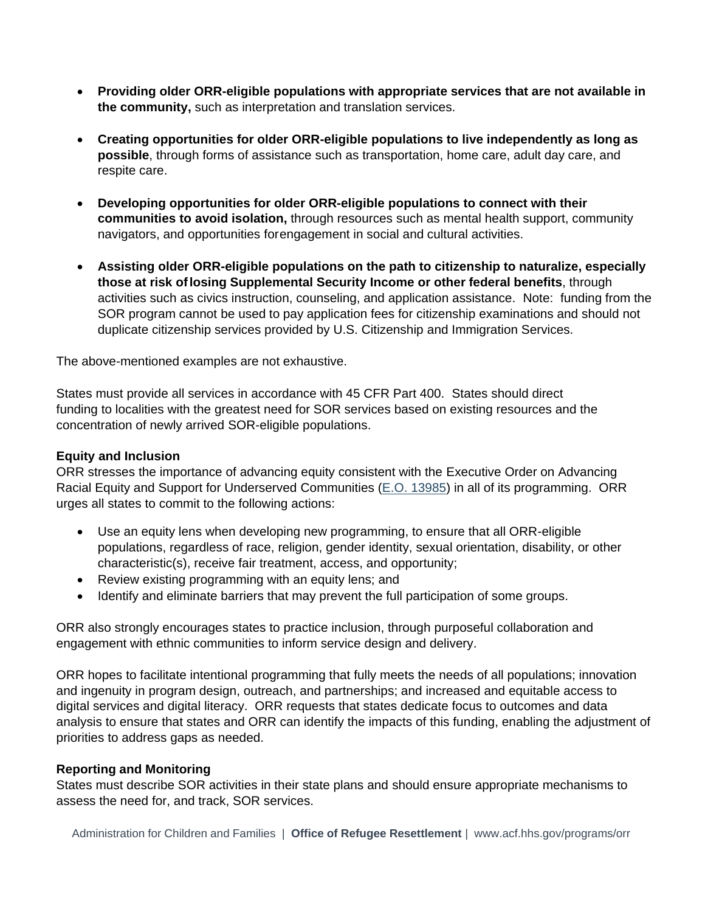- **Providing older ORR-eligible populations with appropriate services that are not available in the community,** such as interpretation and translation services.
- **Creating opportunities for older ORR-eligible populations to live independently as long as possible**, through forms of assistance such as transportation, home care, adult day care, and respite care.
- **Developing opportunities for older ORR-eligible populations to connect with their communities to avoid isolation,** through resources such as mental health support, community navigators, and opportunities forengagement in social and cultural activities.
- **Assisting older ORR-eligible populations on the path to citizenship to naturalize, especially those at risk oflosing Supplemental Security Income or other federal benefits**, through activities such as civics instruction, counseling, and application assistance. Note: funding from the SOR program cannot be used to pay application fees for citizenship examinations and should not duplicate citizenship services provided by U.S. Citizenship and Immigration Services.

The above-mentioned examples are not exhaustive.

States must provide all services in accordance with 45 CFR Part 400. States should direct funding to localities with the greatest need for SOR services based on existing resources and the concentration of newly arrived SOR-eligible populations.

### **Equity and Inclusion**

ORR stresses the importance of advancing equity consistent with the Executive Order on Advancing Racial Equity and Support for Underserved Communities [\(E.O. 13985\)](https://www.whitehouse.gov/briefing-room/presidential-actions/2021/01/20/executive-order-advancing-racial-equity-and-support-for-underserved-communities-through-the-federal-government/) in all of its programming. ORR urges all states to commit to the following actions:

- Use an equity lens when developing new programming, to ensure that all ORR-eligible populations, regardless of race, religion, gender identity, sexual orientation, disability, or other characteristic(s), receive fair treatment, access, and opportunity;
- Review existing programming with an equity lens; and
- Identify and eliminate barriers that may prevent the full participation of some groups.

ORR also strongly encourages states to practice inclusion, through purposeful collaboration and engagement with ethnic communities to inform service design and delivery.

ORR hopes to facilitate intentional programming that fully meets the needs of all populations; innovation and ingenuity in program design, outreach, and partnerships; and increased and equitable access to digital services and digital literacy. ORR requests that states dedicate focus to outcomes and data analysis to ensure that states and ORR can identify the impacts of this funding, enabling the adjustment of priorities to address gaps as needed.

#### **Reporting and Monitoring**

States must describe SOR activities in their state plans and should ensure appropriate mechanisms to assess the need for, and track, SOR services.